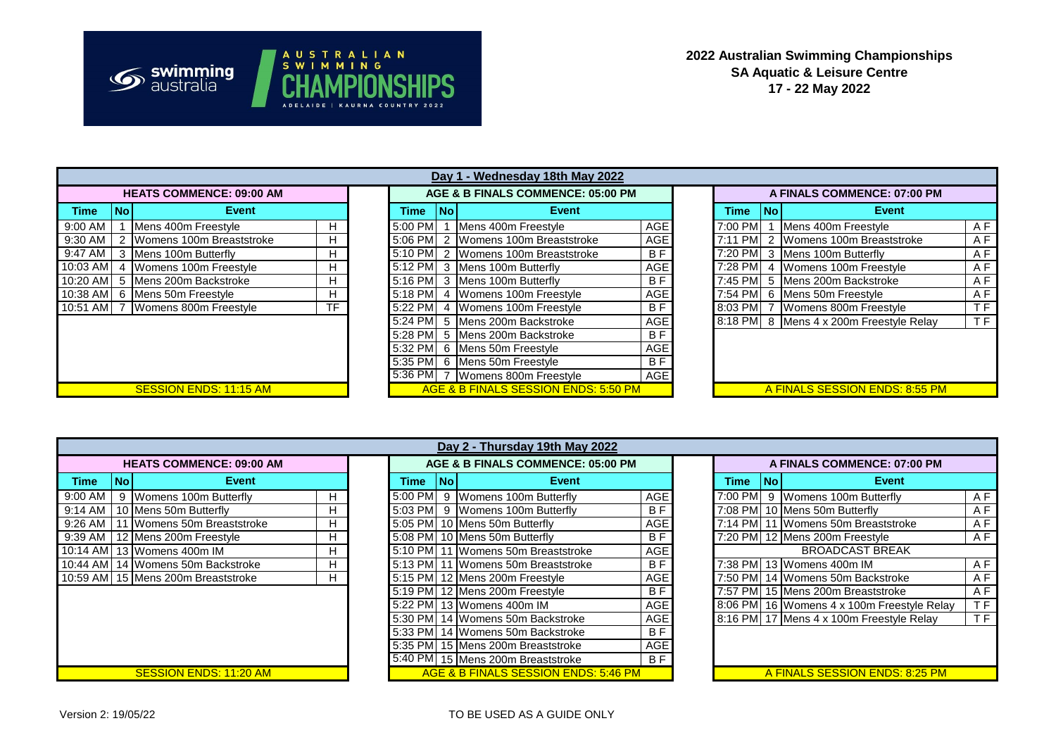



**2022 Australian Swimming Championships SA Aquatic & Leisure Centre 17 - 22 May 2022**

|                        | Day 1 - weanesaay T8th May 2022 |                                      |           |  |                                      |       |                                      |                |  |                                |      |                                         |     |  |  |
|------------------------|---------------------------------|--------------------------------------|-----------|--|--------------------------------------|-------|--------------------------------------|----------------|--|--------------------------------|------|-----------------------------------------|-----|--|--|
|                        |                                 | <b>HEATS COMMENCE: 09:00 AM</b>      |           |  | AGE & B FINALS COMMENCE: 05:00 PM    |       |                                      |                |  | A FINALS COMMENCE: 07:00 PM    |      |                                         |     |  |  |
| Time                   | l No l                          | Event                                |           |  | Time                                 | l Nol | Event                                |                |  | Time                           | INol | Event                                   |     |  |  |
| 9:00 AM                |                                 | Mens 400m Freestyle                  | H.        |  | 5:00 PM                              |       | Mens 400m Freestyle                  | <b>AGE</b>     |  | 7:00 PM 1                      |      | Mens 400m Freestyle                     | A F |  |  |
| 9:30 AM                |                                 | Womens 100m Breaststroke             | H.        |  |                                      |       | 5:06 PM 2   Womens 100m Breaststroke | AGE            |  |                                |      | 7:11 PM 2 Womens 100m Breaststroke      | A F |  |  |
| 9:47 AM                |                                 | Mens 100m Butterfly                  | H.        |  |                                      |       | 5:10 PM 2 Womens 100m Breaststroke   | B F            |  |                                |      | 7:20 PM 3 Mens 100m Butterfly           | A F |  |  |
| 10:03 AM               |                                 | 4 Womens 100m Freestyle              | H.        |  |                                      |       | 5:12 PM 3 Mens 100m Butterfly        | AGE            |  |                                |      | 7:28 PM 4 Womens 100m Freestyle         | A F |  |  |
| 10:20 AM               |                                 | 5 Mens 200m Backstroke               | H.        |  |                                      |       | 5:16 PM 3 Mens 100m Butterfly        | B <sub>F</sub> |  |                                |      | 7:45 PM 5 Mens 200m Backstroke          | A F |  |  |
|                        |                                 | 10:38 AM 6 Mens 50m Freestyle        | H.        |  |                                      |       | 5:18 PM 4 Womens 100m Freestyle      | AGE            |  |                                |      | 7:54 PM 6 Mens 50m Freestyle            | A F |  |  |
|                        |                                 | 10:51 AM   7   Womens 800m Freestyle | <b>TF</b> |  |                                      |       | 5:22 PM 4 Womens 100m Freestyle      | B <sub>F</sub> |  |                                |      | 8:03 PM 7 Womens 800m Freestyle         | T F |  |  |
|                        |                                 |                                      |           |  |                                      |       | 5:24 PM 5 Mens 200m Backstroke       | AGE            |  |                                |      | 8:18 PM 8 Mens 4 x 200m Freestyle Relay | T F |  |  |
|                        |                                 |                                      |           |  |                                      |       | 5:28 PM 5 Mens 200m Backstroke       | B F            |  |                                |      |                                         |     |  |  |
|                        |                                 |                                      |           |  |                                      |       | 5:32 PM 6 Mens 50m Freestyle         | AGE            |  |                                |      |                                         |     |  |  |
|                        |                                 |                                      |           |  |                                      |       | 5:35 PM 6 Mens 50m Freestyle         | B F            |  |                                |      |                                         |     |  |  |
|                        |                                 |                                      |           |  |                                      |       | 5:36 PM 7 Womens 800m Freestyle      | <b>AGE</b>     |  |                                |      |                                         |     |  |  |
| SESSION ENDS: 11:15 AM |                                 |                                      |           |  | AGE & B FINALS SESSION ENDS: 5:50 PM |       |                                      |                |  | A FINALS SESSION ENDS: 8:55 PM |      |                                         |     |  |  |

|           | Day 1 - Wednesday 18th May 2022 |                                      |  |               |      |                                      |                  |  |      |           |                                         |           |
|-----------|---------------------------------|--------------------------------------|--|---------------|------|--------------------------------------|------------------|--|------|-----------|-----------------------------------------|-----------|
|           |                                 | <b>HEATS COMMENCE: 09:00 AM</b>      |  |               |      | AGE & B FINALS COMMENCE: 05:00 PM    |                  |  |      |           | A FINALS COMMENCE: 07:00 PM             |           |
| Time      | l No l                          | Event                                |  | Time          | l No | Event                                |                  |  | Time | <b>No</b> | Event                                   |           |
| 00 AM     |                                 | Mens 400m Freestyle<br>н             |  | $5:00$ PM $1$ |      | Mens 400m Freestyle                  | AGE <sup>I</sup> |  |      |           | 7:00 PM 1   Mens 400m Freestyle         | A F       |
| :30 AM I  |                                 | 2 Womens 100m Breaststroke<br>H      |  |               |      | 5:06 PM 2 Womens 100m Breaststroke   | <b>AGE</b>       |  |      |           | 7:11 PM 2   Womens 100m Breaststroke    | A F       |
| :47 AM 1  |                                 | 3 Mens 100m Butterfly<br>H           |  |               |      | 5:10 PM 2 Womens 100m Breaststroke   | B F              |  |      |           | 7:20 PM 3 Mens 100m Butterfly           | A F       |
| 0:03 AM   |                                 | Womens 100m Freestyle<br>H           |  |               |      | 5:12 PM 3 Mens 100m Butterfly        | AGE              |  |      |           | 7:28 PM 4   Womens 100m Freestyle       | A F       |
| 0:20 AM 5 |                                 | Mens 200m Backstroke<br>H            |  |               |      | 5:16 PM 3 Mens 100m Butterfly        | B F              |  |      |           | 7:45 PM 5 Mens 200m Backstroke          | A F       |
|           |                                 | H<br>:38 AM 6 Mens 50m Freestyle     |  |               |      | 5:18 PM 4   Womens 100m Freestyle    | AGE              |  |      |           | 7:54 PM 6 Mens 50m Freestyle            | A F       |
|           |                                 | TF<br>:51 AM 7 Womens 800m Freestyle |  |               |      | 5:22 PM 4 Womens 100m Freestyle      | B F              |  |      |           | 8:03 PM 7   Womens 800m Freestyle       | ΤF        |
|           |                                 |                                      |  |               |      | 5:24 PM 5 Mens 200m Backstroke       | AGE              |  |      |           | 8:18 PM 8 Mens 4 x 200m Freestyle Relay | <b>TF</b> |
|           |                                 |                                      |  |               |      | 5:28 PM 5 Mens 200m Backstroke       | BF               |  |      |           |                                         |           |
|           |                                 |                                      |  |               |      | 5:32 PM 6 Mens 50m Freestyle         | <b>AGE</b>       |  |      |           |                                         |           |
|           |                                 |                                      |  |               |      | 5:35 PM 6 Mens 50m Freestyle         | <b>BF</b>        |  |      |           |                                         |           |
|           |                                 |                                      |  |               |      | 5:36 PM 7 Womens 800m Freestyle      | AGE <sup>I</sup> |  |      |           |                                         |           |
|           |                                 | SESSION ENDS: 11:15 AM               |  |               |      | AGE & B FINALS SESSION ENDS: 5:50 PM |                  |  |      |           | A FINALS SESSION ENDS: 8:55 PM          |           |

|             |           | A FINALS COMMENCE: 07:00 PM    |     |
|-------------|-----------|--------------------------------|-----|
| <b>Time</b> | <b>No</b> | <b>Event</b>                   |     |
| 7:00 PM     |           | Mens 400m Freestyle            | ΑF  |
| 7:11 PM     | 2         | Womens 100m Breaststroke       | ΑF  |
| 7:20 PM     | 3         | Mens 100m Butterfly            | A F |
| 7:28 PM     | 4         | Womens 100m Freestyle          | ΑF  |
| 7:45 PM     | 5.        | Mens 200m Backstroke           | ΑF  |
| $7:54$ PM   | 6         | Mens 50m Freestyle             | ΑF  |
| 8:03 PM     | 7         | Womens 800m Freestyle          | ТF  |
| 8:18 PM     | 8         | Mens 4 x 200m Freestyle Relay  | ТF  |
|             |           |                                |     |
|             |           |                                |     |
|             |           |                                |     |
|             |           |                                |     |
|             |           | A FINALS SESSION ENDS: 8:55 PM |     |

|         | Day 2 - Thursday 19th May 2022 |                                    |   |      |                                   |                                      |                |      |       |                                            |           |  |  |  |
|---------|--------------------------------|------------------------------------|---|------|-----------------------------------|--------------------------------------|----------------|------|-------|--------------------------------------------|-----------|--|--|--|
|         |                                | <b>HEATS COMMENCE: 09:00 AM</b>    |   |      | AGE & B FINALS COMMENCE: 05:00 PM |                                      |                |      |       | A FINALS COMMENCE: 07:00 PM                |           |  |  |  |
| Time    | l Nol                          | Event                              |   | Time | l No                              | Event                                |                | Time | l Nol | Event                                      |           |  |  |  |
| 9:00 AM |                                | 9 Womens 100m Butterfly            | н |      |                                   | 5:00 PM 9 Womens 100m Butterfly      | AGE            |      |       | 7:00 PM 9 Womens 100m Butterfly            | A F       |  |  |  |
| 9:14 AM |                                | 10 Mens 50m Butterfly              | н |      |                                   | 5:03 PM 9 Womens 100m Butterfly      | BF             |      |       | 7:08 PM 10 Mens 50m Butterfly              | A F       |  |  |  |
| 9:26 AM |                                | I Womens 50m Breaststroke          | н |      |                                   | 5:05 PM 10 Mens 50m Butterfly        | AGE            |      |       | 7:14 PM 11 Womens 50m Breaststroke         | A F       |  |  |  |
| 9:39 AM |                                | 12 Mens 200m Freestyle             | н |      |                                   | 5:08 PM 10 Mens 50m Butterfly        | B <sub>F</sub> |      |       | 7:20 PM 12 Mens 200m Freestyle             | A F       |  |  |  |
|         |                                | 10:14 AM 13 Womens 400m IM         | н |      |                                   | 5:10 PM 11 Womens 50m Breaststroke   | AGE            |      |       | <b>BROADCAST BREAK</b>                     |           |  |  |  |
|         |                                | 10:44 AM 14 Womens 50m Backstroke  | н |      |                                   | 5:13 PM 11 Womens 50m Breaststroke   | B F            |      |       | 7:38 PM 13 Womens 400m IM                  | A F       |  |  |  |
|         |                                | 10:59 AM 15 Mens 200m Breaststroke | н |      |                                   | 5:15 PM 12 Mens 200m Freestyle       | AGE            |      |       | 7:50 PM 14 Womens 50m Backstroke           | A F       |  |  |  |
|         |                                |                                    |   |      |                                   | 5:19 PM 12 Mens 200m Freestyle       | B F            |      |       | 7:57 PM 15 Mens 200m Breaststroke          | A F       |  |  |  |
|         |                                |                                    |   |      |                                   | 5:22 PM 13 Womens 400m IM            | AGE            |      |       | 8:06 PM 16 Womens 4 x 100m Freestyle Relay | ΤF        |  |  |  |
|         |                                |                                    |   |      |                                   | 5:30 PM 14 Womens 50m Backstroke     | AGE            |      |       | 8:16 PM 17 Mens 4 x 100m Freestyle Relay   | <b>TF</b> |  |  |  |
|         |                                |                                    |   |      |                                   | 5:33 PM 14 Womens 50m Backstroke     | B F            |      |       |                                            |           |  |  |  |
|         |                                |                                    |   |      |                                   | 5:35 PM 15 Mens 200m Breaststroke    | AGE            |      |       |                                            |           |  |  |  |
|         |                                |                                    |   |      |                                   | 5:40 PM 15 Mens 200m Breaststroke    | B F            |      |       |                                            |           |  |  |  |
|         |                                | SESSION ENDS: 11:20 AM             |   |      |                                   | AGE & B FINALS SESSION ENDS: 5:46 PM |                |      |       | A FINALS SESSION ENDS: 8:25 PM             |           |  |  |  |

|                | Day 2 - Thursday 19th May 2022 |                                        |  |                                      |      |                                    |                |  |                                |           |                                            |     |
|----------------|--------------------------------|----------------------------------------|--|--------------------------------------|------|------------------------------------|----------------|--|--------------------------------|-----------|--------------------------------------------|-----|
|                |                                | <b>HEATS COMMENCE: 09:00 AM</b>        |  |                                      |      | AGE & B FINALS COMMENCE: 05:00 PM  |                |  |                                |           | A FINALS COMMENCE: 07:00 PM                |     |
| Time           | <b>INo</b>                     | Event                                  |  | Time                                 | TNo. | Event                              |                |  | Time                           | <b>No</b> | Event                                      |     |
| 9:00 AM        |                                | 9 Womens 100m Butterfly<br>H           |  | 5:00 PM                              |      | 9 Womens 100m Butterfly            | <b>AGE</b>     |  |                                |           | 7:00 PM 9 Womens 100m Butterfly            | A F |
|                |                                | 9:14 AM   10 Mens 50m Butterfly<br>н   |  |                                      |      | 5:03 PM 9 Womens 100m Butterfly    | B F            |  |                                |           | 7:08 PM 10 Mens 50m Butterfly              | A F |
| $9:26$ AM $11$ |                                | Womens 50m Breaststroke<br>H           |  |                                      |      | 5:05 PM 10 Mens 50m Butterfly      | AGE            |  |                                |           | 7:14 PM 11 Womens 50m Breaststroke         | A F |
|                |                                | 9:39 AM 12 Mens 200m Freestyle<br>Н    |  |                                      |      | 5:08 PM 10 Mens 50m Butterfly      | B F            |  |                                |           | 7:20 PM 12 Mens 200m Freestyle             | A F |
|                |                                | 0:14 AM 13 Womens 400m IM<br>H         |  |                                      |      | 5:10 PM 11 Womens 50m Breaststroke | AGE            |  |                                |           | <b>BROADCAST BREAK</b>                     |     |
|                |                                | 0:44 AM 14 Womens 50m Backstroke<br>H  |  |                                      |      | 5:13 PM 11 Womens 50m Breaststroke | B <sub>F</sub> |  |                                |           | 7:38 PM 13 Womens 400m IM                  | A F |
|                |                                | 0:59 AM 15 Mens 200m Breaststroke<br>H |  |                                      |      | 5:15 PM 12 Mens 200m Freestyle     | AGE            |  |                                |           | 7:50 PM 14 Womens 50m Backstroke           | A F |
|                |                                |                                        |  |                                      |      | 5:19 PM 12 Mens 200m Freestyle     | B F            |  |                                |           | 7:57 PM 15 Mens 200m Breaststroke          | A F |
|                |                                |                                        |  |                                      |      | 5:22 PM 13 Womens 400m IM          | <b>AGE</b>     |  |                                |           | 8:06 PM 16 Womens 4 x 100m Freestyle Relay | T F |
|                |                                |                                        |  |                                      |      | 5:30 PM 14 Womens 50m Backstroke   | AGE            |  |                                |           | 8:16 PM 17 Mens 4 x 100m Freestyle Relay   | T F |
|                |                                |                                        |  |                                      |      | 5:33 PM 14 Womens 50m Backstroke   | B <sub>F</sub> |  |                                |           |                                            |     |
|                |                                |                                        |  |                                      |      | 5:35 PM 15 Mens 200m Breaststroke  | <b>AGE</b>     |  |                                |           |                                            |     |
|                |                                |                                        |  |                                      |      | 5:40 PM 15 Mens 200m Breaststroke  | B F            |  |                                |           |                                            |     |
|                |                                | SESSION ENDS: 11:20 AM                 |  | AGE & B FINALS SESSION ENDS: 5:46 PM |      |                                    |                |  | A FINALS SESSION ENDS: 8:25 PM |           |                                            |     |

|                       | A FINALS COMMENCE: 07:00 PM |                                       |     |  |  |  |  |  |  |  |  |  |  |
|-----------------------|-----------------------------|---------------------------------------|-----|--|--|--|--|--|--|--|--|--|--|
| <b>Time</b>           | <b>No</b>                   | Event                                 |     |  |  |  |  |  |  |  |  |  |  |
| 7:00 PM               | 9                           | Womens 100m Butterfly                 | AF  |  |  |  |  |  |  |  |  |  |  |
| 7:08 PM               |                             | 10 Mens 50m Butterfly                 | A F |  |  |  |  |  |  |  |  |  |  |
| $\overline{7}$ :14 PM | 11                          | Womens 50m Breaststroke               | A F |  |  |  |  |  |  |  |  |  |  |
|                       |                             | 7:20 PM 12 Mens 200m Freestyle        | ΑF  |  |  |  |  |  |  |  |  |  |  |
|                       |                             | <b>BROADCAST BREAK</b>                |     |  |  |  |  |  |  |  |  |  |  |
| 7:38 PM               |                             | 13 Womens 400m IM                     | A F |  |  |  |  |  |  |  |  |  |  |
| 7:50 PM               |                             | 14 Womens 50m Backstroke              | ΑF  |  |  |  |  |  |  |  |  |  |  |
| 7:57 PM               |                             | 15 Mens 200m Breaststroke             | ΑF  |  |  |  |  |  |  |  |  |  |  |
| 8:06 PM               |                             | 16 Womens 4 x 100m Freestyle Relay    | ΤF  |  |  |  |  |  |  |  |  |  |  |
| 8:16 PM               |                             | 17 Mens 4 x 100m Freestyle Relay      | ΤF  |  |  |  |  |  |  |  |  |  |  |
|                       |                             |                                       |     |  |  |  |  |  |  |  |  |  |  |
|                       |                             |                                       |     |  |  |  |  |  |  |  |  |  |  |
|                       |                             |                                       |     |  |  |  |  |  |  |  |  |  |  |
|                       |                             | <u>A FINALS SESSION ENDS: 8:25 PM</u> |     |  |  |  |  |  |  |  |  |  |  |

## Version 2: 19/05/22 TO BE USED AS A GUIDE ONLY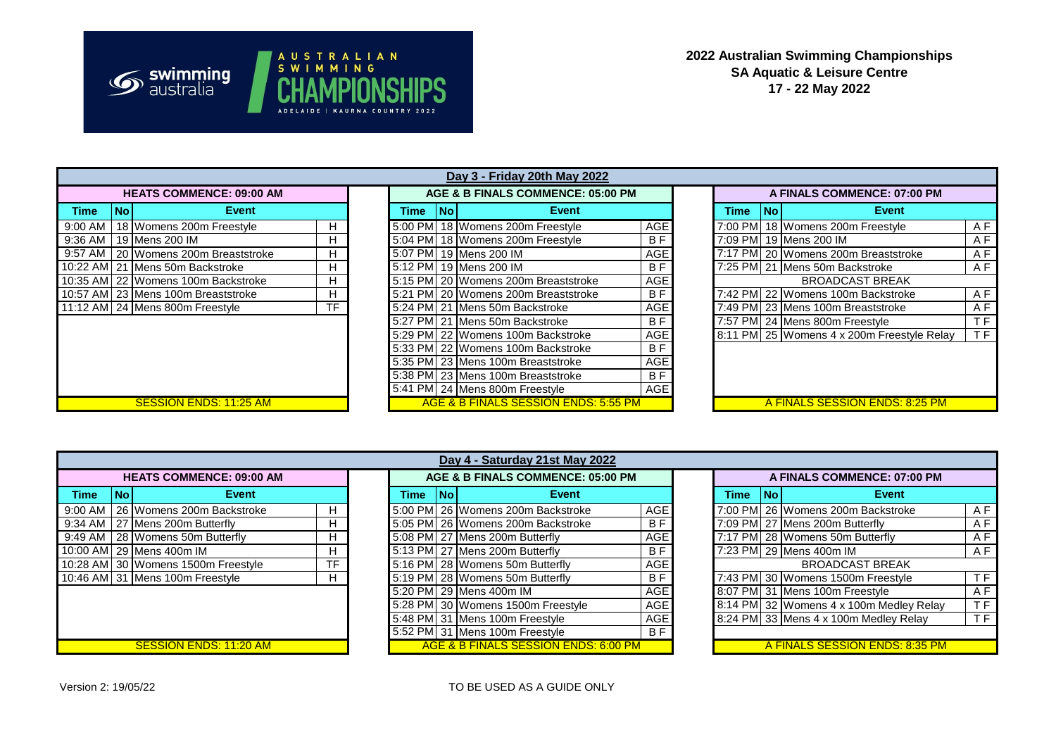

AUSTRALIAN<br>SWIMMING

**ADELAID** 



|         |       |                                          |      |                                   | Day 3 - Friday 20th May 2022         |                |  |      |       |                                            |           |
|---------|-------|------------------------------------------|------|-----------------------------------|--------------------------------------|----------------|--|------|-------|--------------------------------------------|-----------|
|         |       | <b>HEATS COMMENCE: 09:00 AM</b>          |      | AGE & B FINALS COMMENCE: 05:00 PM |                                      |                |  |      |       | A FINALS COMMENCE: 07:00 PM                |           |
| Time    | l Nol | Event                                    | Time | l Nol                             | Event                                |                |  | Time | TNo I | Event                                      |           |
| 9:00 AM |       | 18 Womens 200m Freestyle<br>H.           |      |                                   | 5:00 PM 18 Womens 200m Freestyle     | AGE            |  |      |       | 7:00 PM 18 Womens 200m Freestyle           | A F       |
| 9:36 AM |       | 19 Mens 200 IM<br>H.                     |      |                                   | 5:04 PM 18 Womens 200m Freestyle     | B <sub>F</sub> |  |      |       | 7:09 PM 19 Mens 200 IM                     | A F       |
| 9:57 AM |       | 20 Womens 200m Breaststroke<br>Н.        |      |                                   | 5:07 PM 19 Mens 200 IM               | AGE            |  |      |       | 7:17 PM 20 Womens 200m Breaststroke        | A F       |
|         |       | 10:22 AM 21 Mens 50m Backstroke<br>Н.    |      |                                   | 5:12 PM 19 Mens 200 IM               | B F            |  |      |       | 7:25 PM 21 Mens 50m Backstroke             | A F       |
|         |       | 10:35 AM 22 Womens 100m Backstroke<br>H. |      |                                   | 5:15 PM 20 Womens 200m Breaststroke  | AGE            |  |      |       | <b>BROADCAST BREAK</b>                     |           |
|         |       | 10:57 AM 23 Mens 100m Breaststroke<br>H. |      |                                   | 5:21 PM 20 Womens 200m Breaststroke  | B F            |  |      |       | 7:42 PM 22 Womens 100m Backstroke          | A F       |
|         |       | TF<br>11:12 AM 24 Mens 800m Freestyle    |      |                                   | 5:24 PM 21 Mens 50m Backstroke       | AGE            |  |      |       | 7:49 PM 23 Mens 100m Breaststroke          | A F       |
|         |       |                                          |      |                                   | 5:27 PM 21 Mens 50m Backstroke       | B <sub>F</sub> |  |      |       | 7:57 PM 24 Mens 800m Freestyle             | ΤF        |
|         |       |                                          |      |                                   | 5:29 PM 22 Womens 100m Backstroke    | AGE            |  |      |       | 8:11 PM 25 Womens 4 x 200m Freestyle Relay | <b>TF</b> |
|         |       |                                          |      |                                   | 5:33 PM 22 Womens 100m Backstroke    | B <sub>F</sub> |  |      |       |                                            |           |
|         |       |                                          |      |                                   | 5:35 PM 23 Mens 100m Breaststroke    | AGE            |  |      |       |                                            |           |
|         |       |                                          |      |                                   | 5:38 PM 23 Mens 100m Breaststroke    | B <sub>F</sub> |  |      |       |                                            |           |
|         |       |                                          |      |                                   | 5:41 PM 24 Mens 800m Freestyle       | AGE            |  |      |       |                                            |           |
|         |       | SESSION ENDS: 11:25 AM                   |      |                                   | AGE & B FINALS SESSION ENDS: 5:55 PM |                |  |      |       | A FINALS SESSION ENDS: 8:25 PM             |           |

|          |       |                                            |      |    | Day 3 - Friday 20th May 2022         |           |      |           |                                            |           |
|----------|-------|--------------------------------------------|------|----|--------------------------------------|-----------|------|-----------|--------------------------------------------|-----------|
|          |       | <b>HEATS COMMENCE: 09:00 AM</b>            |      |    | AGE & B FINALS COMMENCE: 05:00 PM    |           |      |           | A FINALS COMMENCE: 07:00 PM                |           |
| Time     | TNo I | Event                                      | Time | No | Event                                |           | Time | <b>No</b> | Event                                      |           |
| :00 AM 1 |       | 18 Womens 200m Freestyle<br>H              |      |    | 5:00 PM 18 Womens 200m Freestyle     | AGE       |      |           | 7:00 PM 18 Womens 200m Freestyle           | A F       |
| :36 AM I |       | 19 Mens 200 IM<br>н                        |      |    | 5:04 PM 18 Womens 200m Freestyle     | <b>BF</b> |      |           | 7:09 PM 19 Mens 200 IM                     | A F       |
|          |       | 57 AM 20 Womens 200m Breaststroke<br>H     |      |    | 5:07 PM 19 Mens 200 IM               | AGE       |      |           | 7:17 PM 20 Womens 200m Breaststroke        | A F       |
|          |       | :22 AM 21 Mens 50m Backstroke<br>H         |      |    | 5:12 PM 19 Mens 200 IM               | B F       |      |           | 7:25 PM 21 Mens 50m Backstroke             | A F       |
|          |       | :35 AM 22 Womens 100m Backstroke<br>н      |      |    | 5:15 PM 20 Womens 200m Breaststroke  | AGE       |      |           | <b>BROADCAST BREAK</b>                     |           |
|          |       | :57 AM 23 Mens 100m Breaststroke<br>H      |      |    | 5:21 PM 20 Womens 200m Breaststroke  | B F       |      |           | 7:42 PM 22 Womens 100m Backstroke          | A F       |
|          |       | :12 AM 24 Mens 800m Freestyle<br><b>TF</b> |      |    | 5:24 PM 21 Mens 50m Backstroke       | AGE       |      |           | 7:49 PM 23 Mens 100m Breaststroke          | A F       |
|          |       |                                            |      |    | 5:27 PM 21 Mens 50m Backstroke       | <b>BF</b> |      |           | 7:57 PM 24 Mens 800m Freestyle             | <b>TF</b> |
|          |       |                                            |      |    | 5:29 PM 22 Womens 100m Backstroke    | AGE       |      |           | 8:11 PM 25 Womens 4 x 200m Freestyle Relay | <b>TF</b> |
|          |       |                                            |      |    | 5:33 PM 22 Womens 100m Backstroke    | <b>BF</b> |      |           |                                            |           |
|          |       |                                            |      |    | 5:35 PM 23 Mens 100m Breaststroke    | AGE       |      |           |                                            |           |
|          |       |                                            |      |    | 5:38 PM 23 Mens 100m Breaststroke    | B F       |      |           |                                            |           |
|          |       |                                            |      |    | 5:41 PM 24 Mens 800m Freestyle       | AGE       |      |           |                                            |           |
|          |       | SESSION ENDS: 11:25 AM                     |      |    | AGE & B FINALS SESSION ENDS: 5:55 PM |           |      |           | A FINALS SESSION ENDS: 8:25 PM             |           |

|             | <b>A FINALS COMMENCE: 07:00 PM</b> |                                    |    |  |  |  |  |  |  |  |  |  |
|-------------|------------------------------------|------------------------------------|----|--|--|--|--|--|--|--|--|--|
| <b>Time</b> | <b>No</b>                          | <b>Event</b>                       |    |  |  |  |  |  |  |  |  |  |
| 7:00 PM     |                                    | 18 Womens 200m Freestyle           | ΑF |  |  |  |  |  |  |  |  |  |
| $7:09$ PM   | 19                                 | Mens 200 IM                        | ΑF |  |  |  |  |  |  |  |  |  |
| 7:17 PM     | 20 I                               | Womens 200m Breaststroke           | ΑF |  |  |  |  |  |  |  |  |  |
| 7:25 PM     |                                    | 21 Mens 50m Backstroke             | ΑF |  |  |  |  |  |  |  |  |  |
|             |                                    | <b>BROADCAST BREAK</b>             |    |  |  |  |  |  |  |  |  |  |
| 7:42 PM     |                                    | 22 Womens 100m Backstroke          | ΑF |  |  |  |  |  |  |  |  |  |
| 7:49 PM     | 23 I                               | Mens 100m Breaststroke             | ΑF |  |  |  |  |  |  |  |  |  |
| 7:57 PM     |                                    | 24 Mens 800m Freestyle             | ТF |  |  |  |  |  |  |  |  |  |
| 8:11 PM     |                                    | 25 Womens 4 x 200m Freestyle Relay | ТF |  |  |  |  |  |  |  |  |  |
|             |                                    |                                    |    |  |  |  |  |  |  |  |  |  |
|             |                                    |                                    |    |  |  |  |  |  |  |  |  |  |
|             |                                    |                                    |    |  |  |  |  |  |  |  |  |  |
|             |                                    |                                    |    |  |  |  |  |  |  |  |  |  |
|             |                                    | A FINALS SESSION ENDS: 8:25 PM     |    |  |  |  |  |  |  |  |  |  |

|             |           |                                          | Day 4 - Saturday 21st May 2022    |           |                                      |                |  |  |  |  |
|-------------|-----------|------------------------------------------|-----------------------------------|-----------|--------------------------------------|----------------|--|--|--|--|
|             |           | <b>HEATS COMMENCE: 09:00 AM</b>          | AGE & B FINALS COMMENCE: 05:00 PM |           |                                      |                |  |  |  |  |
| <b>Time</b> | <b>No</b> | Event                                    | Time                              | <b>No</b> | <b>Event</b>                         |                |  |  |  |  |
| 9:00 AM     |           | 26 Womens 200m Backstroke<br>н           |                                   |           | 5:00 PM 26 Womens 200m Backstroke    | <b>AGE</b>     |  |  |  |  |
| 9:34 AM     |           | 27 Mens 200m Butterfly<br>н              |                                   |           | 5:05 PM 26 Womens 200m Backstroke    | B <sub>F</sub> |  |  |  |  |
| $9:49$ AM   |           | 28 Womens 50m Butterfly<br>н             |                                   |           | 5:08 PM 27 Mens 200m Butterfly       | <b>AGE</b>     |  |  |  |  |
|             |           | 10:00 AM 29 Mens 400m IM<br>н            |                                   |           | 5:13 PM 27 Mens 200m Butterfly       | B <sub>F</sub> |  |  |  |  |
|             |           | 10:28 AM 30 Womens 1500m Freestyle<br>TF |                                   |           | 5:16 PM 28 Womens 50m Butterfly      | <b>AGE</b>     |  |  |  |  |
|             |           | 10:46 AM 31 Mens 100m Freestyle<br>н     |                                   |           | 5:19 PM 28 Womens 50m Butterfly      | B <sub>F</sub> |  |  |  |  |
|             |           |                                          |                                   |           | 5:20 PM 29 Mens 400m IM              | AGE            |  |  |  |  |
|             |           |                                          |                                   |           | 5:28 PM 30 Womens 1500m Freestyle    | AGE            |  |  |  |  |
|             |           |                                          |                                   |           | 5:48 PM 31 Mens 100m Freestyle       | AGE            |  |  |  |  |
|             |           |                                          |                                   |           | 5:52 PM 31 Mens 100m Freestyle       | B <sub>F</sub> |  |  |  |  |
|             |           | SESSION ENDS: 11:20 AM                   |                                   |           | AGE & B FINALS SESSION ENDS: 6:00 PM |                |  |  |  |  |

|      | Day 4 - Saturday 21st May 2022 |                                          |  |      |                                      |                                   |                |  |      |                                |                                         |           |
|------|--------------------------------|------------------------------------------|--|------|--------------------------------------|-----------------------------------|----------------|--|------|--------------------------------|-----------------------------------------|-----------|
|      |                                | <b>HEATS COMMENCE: 09:00 AM</b>          |  |      |                                      | AGE & B FINALS COMMENCE: 05:00 PM |                |  |      |                                | A FINALS COMMENCE: 07:00 PM             |           |
| Time | l No                           | Event                                    |  | Time | <b>No</b>                            | Event                             |                |  | Time | <b>No</b>                      | Event                                   |           |
|      |                                | 9:00 AM 26 Womens 200m Backstroke<br>H   |  |      |                                      | 5:00 PM 26 Womens 200m Backstroke | AGE            |  |      |                                | 7:00 PM 26 Womens 200m Backstroke       | A F       |
|      |                                | 9:34 AM 27 Mens 200m Butterfly           |  |      |                                      | 5:05 PM 26 Womens 200m Backstroke | B F            |  |      |                                | 7:09 PM 27 Mens 200m Butterfly          | A F       |
|      |                                | 9:49 AM 28 Womens 50m Butterfly<br>н     |  |      |                                      | 5:08 PM 27 Mens 200m Butterfly    | AGE            |  |      |                                | 7:17 PM 28 Womens 50m Butterfly         | A F       |
|      |                                | 10:00 AM 29 Mens 400m IM<br>н            |  |      |                                      | 5:13 PM 27 Mens 200m Butterfly    | B F            |  |      |                                | 7:23 PM 29 Mens 400m IM                 | A F       |
|      |                                | 10:28 AM 30 Womens 1500m Freestyle<br>TF |  |      |                                      | 5:16 PM 28 Womens 50m Butterfly   | AGE            |  |      |                                | <b>BROADCAST BREAK</b>                  |           |
|      |                                | 10:46 AM 31 Mens 100m Freestyle<br>H.    |  |      |                                      | 5:19 PM 28 Womens 50m Butterfly   | B F            |  |      |                                | 7:43 PM 30 Womens 1500m Freestyle       | <b>TF</b> |
|      |                                |                                          |  |      |                                      | 5:20 PM 29 Mens 400m IM           | AGE            |  |      |                                | 8:07 PM 31 Mens 100m Freestyle          | A F       |
|      |                                |                                          |  |      |                                      | 5:28 PM 30 Womens 1500m Freestyle | AGE            |  |      |                                | 8:14 PM 32 Womens 4 x 100m Medley Relay | ΤF        |
|      |                                |                                          |  |      |                                      | 5:48 PM 31 Mens 100m Freestyle    | AGE            |  |      |                                | 8:24 PM 33 Mens 4 x 100m Medley Relay   | ΤF        |
|      |                                |                                          |  |      |                                      | 5:52 PM 31 Mens 100m Freestyle    | B <sub>F</sub> |  |      |                                |                                         |           |
|      |                                | SESSION ENDS: 11:20 AM                   |  |      | AGE & B FINALS SESSION ENDS: 6:00 PM |                                   |                |  |      | A FINALS SESSION ENDS: 8:35 PM |                                         |           |

|                                             | A FINALS COMMENCE: 07:00 PM    |                                         |                |  |  |  |  |  |  |  |  |  |  |
|---------------------------------------------|--------------------------------|-----------------------------------------|----------------|--|--|--|--|--|--|--|--|--|--|
| <b>Time</b>                                 | <b>No</b><br>Event             |                                         |                |  |  |  |  |  |  |  |  |  |  |
|                                             |                                | 7:00 PM 26 Womens 200m Backstroke       | A <sub>F</sub> |  |  |  |  |  |  |  |  |  |  |
| 7:09 PM<br>27 Mens 200m Butterfly<br>ΑF     |                                |                                         |                |  |  |  |  |  |  |  |  |  |  |
| 7:17 PM 28 Womens 50m Butterfly<br>ΑF       |                                |                                         |                |  |  |  |  |  |  |  |  |  |  |
| 7:23 PM 29 Mens 400m IM                     |                                |                                         |                |  |  |  |  |  |  |  |  |  |  |
|                                             |                                | <b>BROADCAST BREAK</b>                  |                |  |  |  |  |  |  |  |  |  |  |
|                                             |                                | 7:43 PM 30 Womens 1500m Freestyle       | ΤF             |  |  |  |  |  |  |  |  |  |  |
|                                             |                                | 8:07 PM 31 Mens 100m Freestyle          | ΑF             |  |  |  |  |  |  |  |  |  |  |
|                                             |                                | 8:14 PM 32 Womens 4 x 100m Medley Relay | ТF             |  |  |  |  |  |  |  |  |  |  |
| 8:24 PM 33 Mens 4 x 100m Medley Relay<br>ТF |                                |                                         |                |  |  |  |  |  |  |  |  |  |  |
|                                             |                                |                                         |                |  |  |  |  |  |  |  |  |  |  |
|                                             | A FINALS SESSION ENDS: 8:35 PM |                                         |                |  |  |  |  |  |  |  |  |  |  |

## TO BE USED AS A GUIDE ONLY